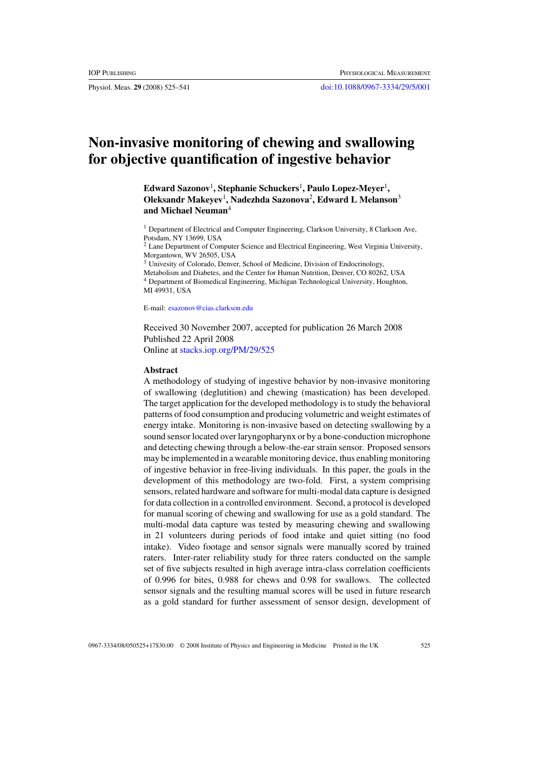# **Non-invasive monitoring of chewing and swallowing for objective quantification of ingestive behavior**

 $\boldsymbol{\mathrm{E}}$ dward Sazonov<sup>1</sup>, Stephanie Schuckers<sup>1</sup>, Paulo Lopez-Meyer<sup>1</sup>, **Oleksandr Makeyev**<sup>1</sup> **, Nadezhda Sazonova**<sup>2</sup> **, Edward L Melanson**<sup>3</sup> **and Michael Neuman**<sup>4</sup>

<sup>1</sup> Department of Electrical and Computer Engineering, Clarkson University, 8 Clarkson Ave, Potsdam, NY 13699, USA

<sup>2</sup> Lane Department of Computer Science and Electrical Engineering, West Virginia University, Morgantown, WV 26505, USA

<sup>3</sup> Univesity of Colorado, Denver, School of Medicine, Division of Endocrinology,

Metabolism and Diabetes, and the Center for Human Nutrition, Denver, CO 80262, USA <sup>4</sup> Department of Biomedical Engineering, Michigan Technological University, Houghton,

MI 49931, USA

E-mail: [esazonov@cias.clarkson.edu](mailto:esazonov@cias.clarkson.edu)

Received 30 November 2007, accepted for publication 26 March 2008 Published 22 April 2008 Online at [stacks.iop.org/PM/29/525](http://stacks.iop.org/PM/29/525)

## **Abstract**

A methodology of studying of ingestive behavior by non-invasive monitoring of swallowing (deglutition) and chewing (mastication) has been developed. The target application for the developed methodology is to study the behavioral patterns of food consumption and producing volumetric and weight estimates of energy intake. Monitoring is non-invasive based on detecting swallowing by a sound sensor located over laryngopharynx or by a bone-conduction microphone and detecting chewing through a below-the-ear strain sensor. Proposed sensors may be implemented in a wearable monitoring device, thus enabling monitoring of ingestive behavior in free-living individuals. In this paper, the goals in the development of this methodology are two-fold. First, a system comprising sensors, related hardware and software for multi-modal data capture is designed for data collection in a controlled environment. Second, a protocol is developed for manual scoring of chewing and swallowing for use as a gold standard. The multi-modal data capture was tested by measuring chewing and swallowing in 21 volunteers during periods of food intake and quiet sitting (no food intake). Video footage and sensor signals were manually scored by trained raters. Inter-rater reliability study for three raters conducted on the sample set of five subjects resulted in high average intra-class correlation coefficients of 0.996 for bites, 0.988 for chews and 0.98 for swallows. The collected sensor signals and the resulting manual scores will be used in future research as a gold standard for further assessment of sensor design, development of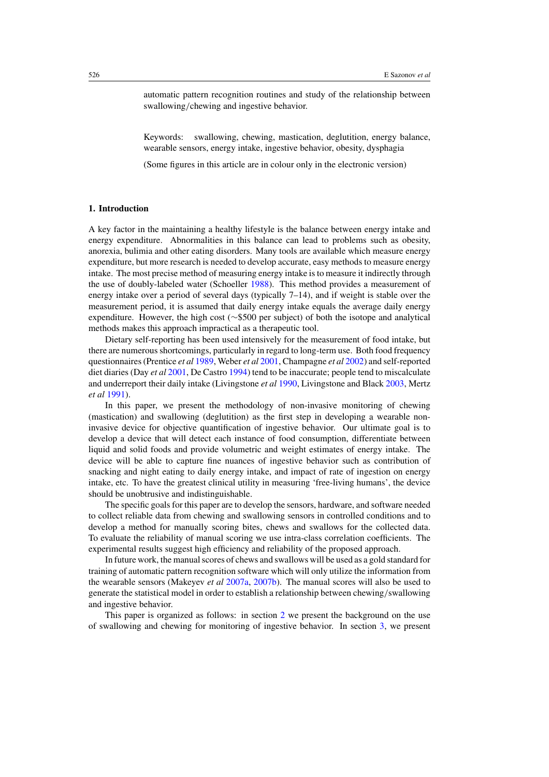automatic pattern recognition routines and study of the relationship between swallowing*/*chewing and ingestive behavior.

Keywords: swallowing, chewing, mastication, deglutition, energy balance, wearable sensors, energy intake, ingestive behavior, obesity, dysphagia

(Some figures in this article are in colour only in the electronic version)

### **1. Introduction**

A key factor in the maintaining a healthy lifestyle is the balance between energy intake and energy expenditure. Abnormalities in this balance can lead to problems such as obesity, anorexia, bulimia and other eating disorders. Many tools are available which measure energy expenditure, but more research is needed to develop accurate, easy methods to measure energy intake. The most precise method of measuring energy intake is to measure it indirectly through the use of doubly-labeled water (Schoeller [1988](#page-16-0)). This method provides a measurement of energy intake over a period of several days (typically 7–14), and if weight is stable over the measurement period, it is assumed that daily energy intake equals the average daily energy expenditure. However, the high cost (∼\$500 per subject) of both the isotope and analytical methods makes this approach impractical as a therapeutic tool.

Dietary self-reporting has been used intensively for the measurement of food intake, but there are numerous shortcomings, particularly in regard to long-term use. Both food frequency questionnaires (Prentice *et al* [1989,](#page-15-0) Weber *et al* [2001](#page-16-0), Champagne *et al* [2002](#page-14-0)) and self-reported diet diaries (Day *et al* [2001](#page-15-0), De Castro [1994](#page-15-0)) tend to be inaccurate; people tend to miscalculate and underreport their daily intake (Livingstone *et al* [1990,](#page-15-0) Livingstone and Black [2003](#page-15-0), Mertz *et al* [1991\)](#page-15-0).

In this paper, we present the methodology of non-invasive monitoring of chewing (mastication) and swallowing (deglutition) as the first step in developing a wearable noninvasive device for objective quantification of ingestive behavior. Our ultimate goal is to develop a device that will detect each instance of food consumption, differentiate between liquid and solid foods and provide volumetric and weight estimates of energy intake. The device will be able to capture fine nuances of ingestive behavior such as contribution of snacking and night eating to daily energy intake, and impact of rate of ingestion on energy intake, etc. To have the greatest clinical utility in measuring 'free-living humans', the device should be unobtrusive and indistinguishable.

The specific goals for this paper are to develop the sensors, hardware, and software needed to collect reliable data from chewing and swallowing sensors in controlled conditions and to develop a method for manually scoring bites, chews and swallows for the collected data. To evaluate the reliability of manual scoring we use intra-class correlation coefficients. The experimental results suggest high efficiency and reliability of the proposed approach.

In future work, the manual scores of chews and swallows will be used as a gold standard for training of automatic pattern recognition software which will only utilize the information from the wearable sensors (Makeyev *et al* [2007a](#page-15-0), [2007b\)](#page-15-0). The manual scores will also be used to generate the statistical model in order to establish a relationship between chewing*/*swallowing and ingestive behavior.

This paper is organized as follows: in section [2](#page-2-0) we present the background on the use of swallowing and chewing for monitoring of ingestive behavior. In section [3,](#page-3-0) we present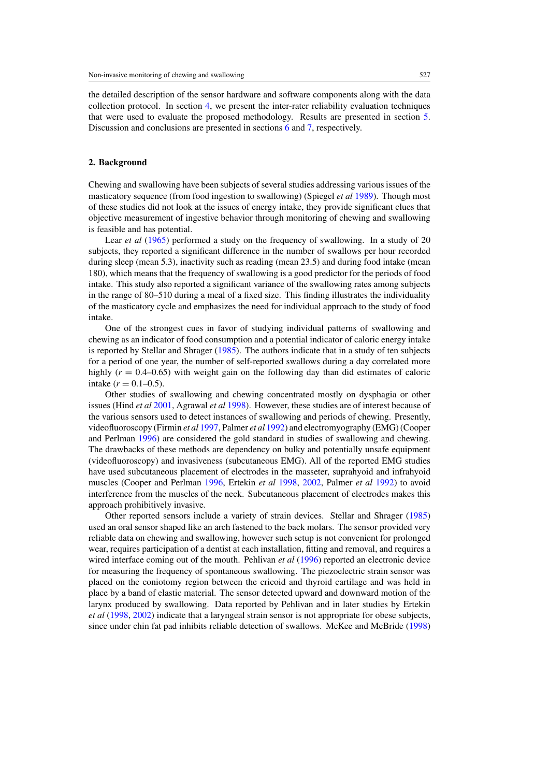<span id="page-2-0"></span>the detailed description of the sensor hardware and software components along with the data collection protocol. In section [4,](#page-9-0) we present the inter-rater reliability evaluation techniques that were used to evaluate the proposed methodology. Results are presented in section [5.](#page-11-0) Discussion and conclusions are presented in sections [6](#page-11-0) and [7,](#page-14-0) respectively.

#### **2. Background**

Chewing and swallowing have been subjects of several studies addressing various issues of the masticatory sequence (from food ingestion to swallowing) (Spiegel *et al* [1989](#page-16-0)). Though most of these studies did not look at the issues of energy intake, they provide significant clues that objective measurement of ingestive behavior through monitoring of chewing and swallowing is feasible and has potential.

Lear *et al* [\(1965](#page-15-0)) performed a study on the frequency of swallowing. In a study of 20 subjects, they reported a significant difference in the number of swallows per hour recorded during sleep (mean 5.3), inactivity such as reading (mean 23.5) and during food intake (mean 180), which means that the frequency of swallowing is a good predictor for the periods of food intake. This study also reported a significant variance of the swallowing rates among subjects in the range of 80–510 during a meal of a fixed size. This finding illustrates the individuality of the masticatory cycle and emphasizes the need for individual approach to the study of food intake.

One of the strongest cues in favor of studying individual patterns of swallowing and chewing as an indicator of food consumption and a potential indicator of caloric energy intake is reported by Stellar and Shrager [\(1985\)](#page-16-0). The authors indicate that in a study of ten subjects for a period of one year, the number of self-reported swallows during a day correlated more highly  $(r = 0.4{\text -}0.65)$  with weight gain on the following day than did estimates of caloric intake  $(r = 0.1 - 0.5)$ .

Other studies of swallowing and chewing concentrated mostly on dysphagia or other issues (Hind *et al* [2001](#page-15-0), Agrawal *et al* [1998](#page-14-0)). However, these studies are of interest because of the various sensors used to detect instances of swallowing and periods of chewing. Presently, videofluoroscopy (Firmin *et al* [1997,](#page-15-0) Palmer *et al* [1992\)](#page-15-0) and electromyography (EMG) (Cooper and Perlman [1996\)](#page-14-0) are considered the gold standard in studies of swallowing and chewing. The drawbacks of these methods are dependency on bulky and potentially unsafe equipment (videofluoroscopy) and invasiveness (subcutaneous EMG). All of the reported EMG studies have used subcutaneous placement of electrodes in the masseter, suprahyoid and infrahyoid muscles (Cooper and Perlman [1996,](#page-14-0) Ertekin *et al* [1998,](#page-15-0) [2002,](#page-15-0) Palmer *et al* [1992](#page-15-0)) to avoid interference from the muscles of the neck. Subcutaneous placement of electrodes makes this approach prohibitively invasive.

Other reported sensors include a variety of strain devices. Stellar and Shrager [\(1985](#page-16-0)) used an oral sensor shaped like an arch fastened to the back molars. The sensor provided very reliable data on chewing and swallowing, however such setup is not convenient for prolonged wear, requires participation of a dentist at each installation, fitting and removal, and requires a wired interface coming out of the mouth. Pehlivan *et al* [\(1996\)](#page-15-0) reported an electronic device for measuring the frequency of spontaneous swallowing. The piezoelectric strain sensor was placed on the coniotomy region between the cricoid and thyroid cartilage and was held in place by a band of elastic material. The sensor detected upward and downward motion of the larynx produced by swallowing. Data reported by Pehlivan and in later studies by Ertekin *et al* [\(1998](#page-15-0), [2002](#page-15-0)) indicate that a laryngeal strain sensor is not appropriate for obese subjects, since under chin fat pad inhibits reliable detection of swallows. McKee and McBride [\(1998](#page-15-0))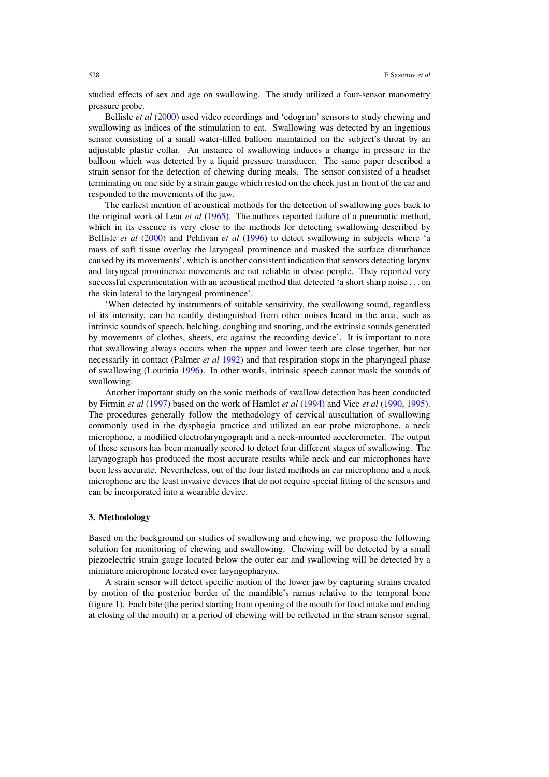<span id="page-3-0"></span>studied effects of sex and age on swallowing. The study utilized a four-sensor manometry pressure probe.

Bellisle *et al* [\(2000\)](#page-14-0) used video recordings and 'edogram' sensors to study chewing and swallowing as indices of the stimulation to eat. Swallowing was detected by an ingenious sensor consisting of a small water-filled balloon maintained on the subject's throat by an adjustable plastic collar. An instance of swallowing induces a change in pressure in the balloon which was detected by a liquid pressure transducer. The same paper described a strain sensor for the detection of chewing during meals. The sensor consisted of a headset terminating on one side by a strain gauge which rested on the cheek just in front of the ear and responded to the movements of the jaw.

The earliest mention of acoustical methods for the detection of swallowing goes back to the original work of Lear *et al* [\(1965\)](#page-15-0). The authors reported failure of a pneumatic method, which in its essence is very close to the methods for detecting swallowing described by Bellisle *et al* [\(2000](#page-14-0)) and Pehlivan *et al* [\(1996](#page-15-0)) to detect swallowing in subjects where 'a mass of soft tissue overlay the laryngeal prominence and masked the surface disturbance caused by its movements', which is another consistent indication that sensors detecting larynx and laryngeal prominence movements are not reliable in obese people. They reported very successful experimentation with an acoustical method that detected 'a short sharp noise *...* on the skin lateral to the laryngeal prominence'.

'When detected by instruments of suitable sensitivity, the swallowing sound, regardless of its intensity, can be readily distinguished from other noises heard in the area, such as intrinsic sounds of speech, belching, coughing and snoring, and the extrinsic sounds generated by movements of clothes, sheets, etc against the recording device'. It is important to note that swallowing always occurs when the upper and lower teeth are close together, but not necessarily in contact (Palmer *et al* [1992\)](#page-15-0) and that respiration stops in the pharyngeal phase of swallowing (Lourinia [1996\)](#page-15-0). In other words, intrinsic speech cannot mask the sounds of swallowing.

Another important study on the sonic methods of swallow detection has been conducted by Firmin *et al* [\(1997](#page-15-0)) based on the work of Hamlet *et al* [\(1994\)](#page-15-0) and Vice *et al* [\(1990,](#page-16-0) [1995\)](#page-16-0). The procedures generally follow the methodology of cervical auscultation of swallowing commonly used in the dysphagia practice and utilized an ear probe microphone, a neck microphone, a modified electrolaryngograph and a neck-mounted accelerometer. The output of these sensors has been manually scored to detect four different stages of swallowing. The laryngograph has produced the most accurate results while neck and ear microphones have been less accurate. Nevertheless, out of the four listed methods an ear microphone and a neck microphone are the least invasive devices that do not require special fitting of the sensors and can be incorporated into a wearable device.

#### **3. Methodology**

Based on the background on studies of swallowing and chewing, we propose the following solution for monitoring of chewing and swallowing. Chewing will be detected by a small piezoelectric strain gauge located below the outer ear and swallowing will be detected by a miniature microphone located over laryngopharynx.

A strain sensor will detect specific motion of the lower jaw by capturing strains created by motion of the posterior border of the mandible's ramus relative to the temporal bone (figure [1\)](#page-4-0). Each bite (the period starting from opening of the mouth for food intake and ending at closing of the mouth) or a period of chewing will be reflected in the strain sensor signal.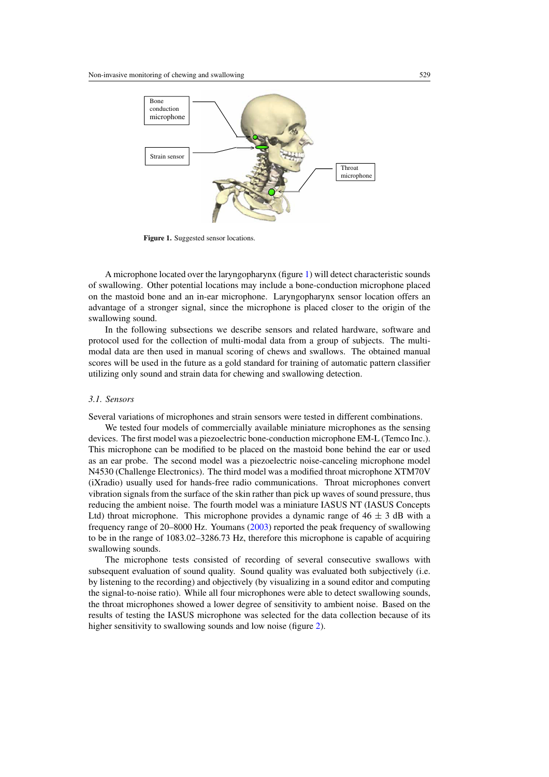<span id="page-4-0"></span>

**Figure 1.** Suggested sensor locations.

A microphone located over the laryngopharynx (figure 1) will detect characteristic sounds of swallowing. Other potential locations may include a bone-conduction microphone placed on the mastoid bone and an in-ear microphone. Laryngopharynx sensor location offers an advantage of a stronger signal, since the microphone is placed closer to the origin of the swallowing sound.

In the following subsections we describe sensors and related hardware, software and protocol used for the collection of multi-modal data from a group of subjects. The multimodal data are then used in manual scoring of chews and swallows. The obtained manual scores will be used in the future as a gold standard for training of automatic pattern classifier utilizing only sound and strain data for chewing and swallowing detection.

# *3.1. Sensors*

Several variations of microphones and strain sensors were tested in different combinations.

We tested four models of commercially available miniature microphones as the sensing devices. The first model was a piezoelectric bone-conduction microphone EM-L (Temco Inc.). This microphone can be modified to be placed on the mastoid bone behind the ear or used as an ear probe. The second model was a piezoelectric noise-canceling microphone model N4530 (Challenge Electronics). The third model was a modified throat microphone XTM70V (iXradio) usually used for hands-free radio communications. Throat microphones convert vibration signals from the surface of the skin rather than pick up waves of sound pressure, thus reducing the ambient noise. The fourth model was a miniature IASUS NT (IASUS Concepts Ltd) throat microphone. This microphone provides a dynamic range of  $46 \pm 3$  dB with a frequency range of 20–8000 Hz. Youmans [\(2003](#page-16-0)) reported the peak frequency of swallowing to be in the range of 1083.02–3286.73 Hz, therefore this microphone is capable of acquiring swallowing sounds.

The microphone tests consisted of recording of several consecutive swallows with subsequent evaluation of sound quality. Sound quality was evaluated both subjectively (i.e. by listening to the recording) and objectively (by visualizing in a sound editor and computing the signal-to-noise ratio). While all four microphones were able to detect swallowing sounds, the throat microphones showed a lower degree of sensitivity to ambient noise. Based on the results of testing the IASUS microphone was selected for the data collection because of its higher sensitivity to swallowing sounds and low noise (figure [2\)](#page-5-0).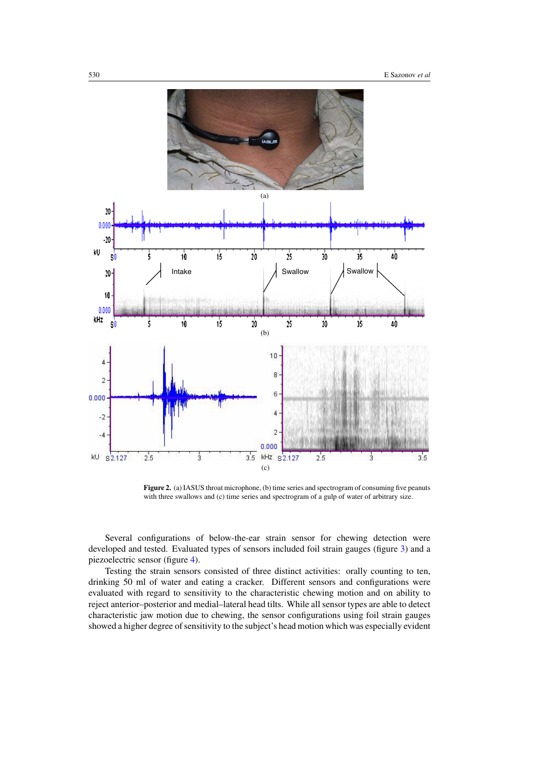<span id="page-5-0"></span>

**Figure 2.** (a) IASUS throat microphone, (b) time series and spectrogram of consuming five peanuts with three swallows and (c) time series and spectrogram of a gulp of water of arbitrary size.

Several configurations of below-the-ear strain sensor for chewing detection were developed and tested. Evaluated types of sensors included foil strain gauges (figure [3\)](#page-6-0) and a piezoelectric sensor (figure [4\)](#page-6-0).

Testing the strain sensors consisted of three distinct activities: orally counting to ten, drinking 50 ml of water and eating a cracker. Different sensors and configurations were evaluated with regard to sensitivity to the characteristic chewing motion and on ability to reject anterior–posterior and medial–lateral head tilts. While all sensor types are able to detect characteristic jaw motion due to chewing, the sensor configurations using foil strain gauges showed a higher degree of sensitivity to the subject's head motion which was especially evident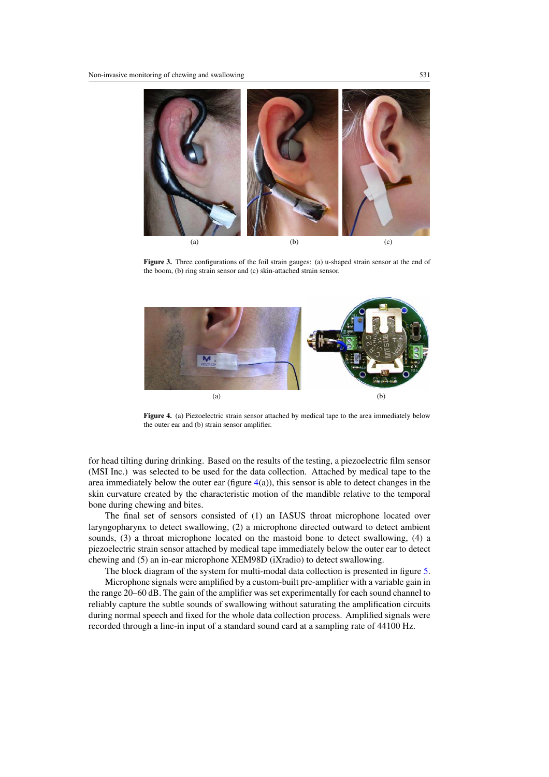<span id="page-6-0"></span>

Figure 3. Three configurations of the foil strain gauges: (a) u-shaped strain sensor at the end of the boom, (b) ring strain sensor and (c) skin-attached strain sensor.



**Figure 4.** (a) Piezoelectric strain sensor attached by medical tape to the area immediately below the outer ear and (b) strain sensor amplifier.

for head tilting during drinking. Based on the results of the testing, a piezoelectric film sensor (MSI Inc.) was selected to be used for the data collection. Attached by medical tape to the area immediately below the outer ear (figure  $4(a)$ ), this sensor is able to detect changes in the skin curvature created by the characteristic motion of the mandible relative to the temporal bone during chewing and bites.

The final set of sensors consisted of (1) an IASUS throat microphone located over laryngopharynx to detect swallowing, (2) a microphone directed outward to detect ambient sounds, (3) a throat microphone located on the mastoid bone to detect swallowing, (4) a piezoelectric strain sensor attached by medical tape immediately below the outer ear to detect chewing and (5) an in-ear microphone XEM98D (iXradio) to detect swallowing.

The block diagram of the system for multi-modal data collection is presented in figure [5.](#page-7-0) Microphone signals were amplified by a custom-built pre-amplifier with a variable gain in the range 20–60 dB. The gain of the amplifier was set experimentally for each sound channel to reliably capture the subtle sounds of swallowing without saturating the amplification circuits during normal speech and fixed for the whole data collection process. Amplified signals were

recorded through a line-in input of a standard sound card at a sampling rate of 44100 Hz.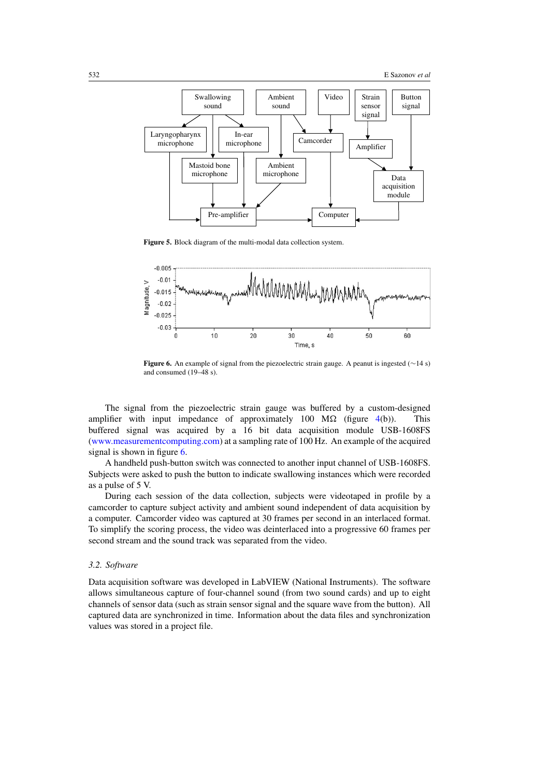<span id="page-7-0"></span>

**Figure 5.** Block diagram of the multi-modal data collection system.



**Figure 6.** An example of signal from the piezoelectric strain gauge. A peanut is ingested (∼14 s) and consumed (19–48 s).

The signal from the piezoelectric strain gauge was buffered by a custom-designed amplifier with input impedance of approximately 100  $\text{M}\Omega$  (figure [4\(](#page-6-0)b)). This buffered signal was acquired by a 16 bit data acquisition module USB-1608FS [\(www.measurementcomputing.com\)](file:www.measurementcomputing.com) at a sampling rate of 100 Hz. An example of the acquired signal is shown in figure 6.

A handheld push-button switch was connected to another input channel of USB-1608FS. Subjects were asked to push the button to indicate swallowing instances which were recorded as a pulse of 5 V.

During each session of the data collection, subjects were videotaped in profile by a camcorder to capture subject activity and ambient sound independent of data acquisition by a computer. Camcorder video was captured at 30 frames per second in an interlaced format. To simplify the scoring process, the video was deinterlaced into a progressive 60 frames per second stream and the sound track was separated from the video.

# *3.2. Software*

Data acquisition software was developed in LabVIEW (National Instruments). The software allows simultaneous capture of four-channel sound (from two sound cards) and up to eight channels of sensor data (such as strain sensor signal and the square wave from the button). All captured data are synchronized in time. Information about the data files and synchronization values was stored in a project file.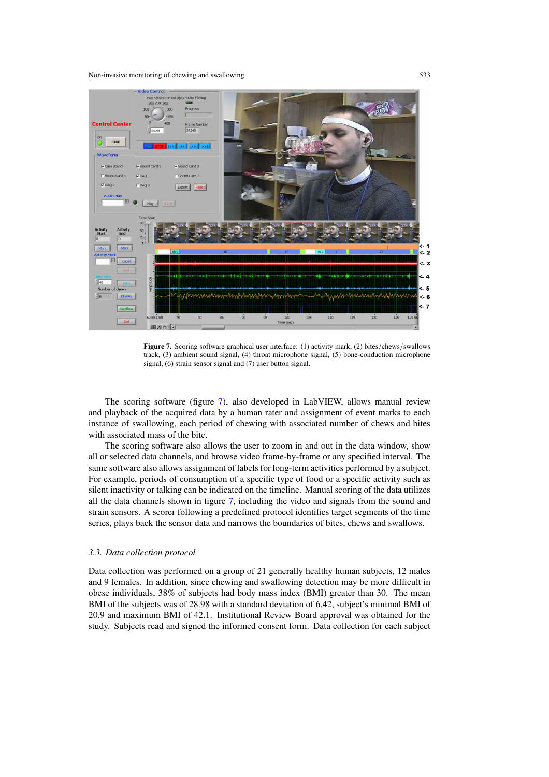

**Figure 7.** Scoring software graphical user interface: (1) activity mark, (2) bites*/*chews*/*swallows track, (3) ambient sound signal, (4) throat microphone signal, (5) bone-conduction microphone signal, (6) strain sensor signal and (7) user button signal.

The scoring software (figure 7), also developed in LabVIEW, allows manual review and playback of the acquired data by a human rater and assignment of event marks to each instance of swallowing, each period of chewing with associated number of chews and bites with associated mass of the bite.

The scoring software also allows the user to zoom in and out in the data window, show all or selected data channels, and browse video frame-by-frame or any specified interval. The same software also allows assignment of labels for long-term activities performed by a subject. For example, periods of consumption of a specific type of food or a specific activity such as silent inactivity or talking can be indicated on the timeline. Manual scoring of the data utilizes all the data channels shown in figure 7, including the video and signals from the sound and strain sensors. A scorer following a predefined protocol identifies target segments of the time series, plays back the sensor data and narrows the boundaries of bites, chews and swallows.

## *3.3. Data collection protocol*

Data collection was performed on a group of 21 generally healthy human subjects, 12 males and 9 females. In addition, since chewing and swallowing detection may be more difficult in obese individuals, 38% of subjects had body mass index (BMI) greater than 30. The mean BMI of the subjects was of 28.98 with a standard deviation of 6.42, subject's minimal BMI of 20.9 and maximum BMI of 42.1. Institutional Review Board approval was obtained for the study. Subjects read and signed the informed consent form. Data collection for each subject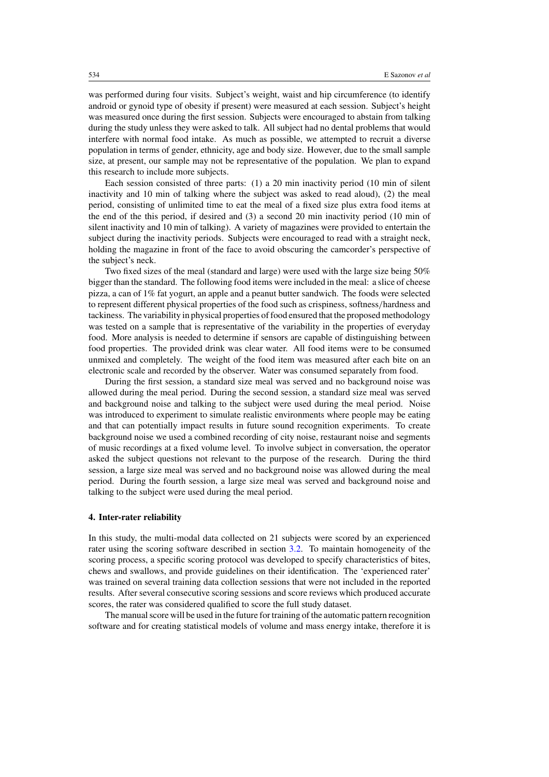<span id="page-9-0"></span>was performed during four visits. Subject's weight, waist and hip circumference (to identify android or gynoid type of obesity if present) were measured at each session. Subject's height was measured once during the first session. Subjects were encouraged to abstain from talking during the study unless they were asked to talk. All subject had no dental problems that would interfere with normal food intake. As much as possible, we attempted to recruit a diverse population in terms of gender, ethnicity, age and body size. However, due to the small sample size, at present, our sample may not be representative of the population. We plan to expand this research to include more subjects.

Each session consisted of three parts: (1) a 20 min inactivity period (10 min of silent inactivity and 10 min of talking where the subject was asked to read aloud), (2) the meal period, consisting of unlimited time to eat the meal of a fixed size plus extra food items at the end of the this period, if desired and (3) a second 20 min inactivity period (10 min of silent inactivity and 10 min of talking). A variety of magazines were provided to entertain the subject during the inactivity periods. Subjects were encouraged to read with a straight neck, holding the magazine in front of the face to avoid obscuring the camcorder's perspective of the subject's neck.

Two fixed sizes of the meal (standard and large) were used with the large size being 50% bigger than the standard. The following food items were included in the meal: a slice of cheese pizza, a can of 1% fat yogurt, an apple and a peanut butter sandwich. The foods were selected to represent different physical properties of the food such as crispiness, softness*/*hardness and tackiness. The variability in physical properties of food ensured that the proposed methodology was tested on a sample that is representative of the variability in the properties of everyday food. More analysis is needed to determine if sensors are capable of distinguishing between food properties. The provided drink was clear water. All food items were to be consumed unmixed and completely. The weight of the food item was measured after each bite on an electronic scale and recorded by the observer. Water was consumed separately from food.

During the first session, a standard size meal was served and no background noise was allowed during the meal period. During the second session, a standard size meal was served and background noise and talking to the subject were used during the meal period. Noise was introduced to experiment to simulate realistic environments where people may be eating and that can potentially impact results in future sound recognition experiments. To create background noise we used a combined recording of city noise, restaurant noise and segments of music recordings at a fixed volume level. To involve subject in conversation, the operator asked the subject questions not relevant to the purpose of the research. During the third session, a large size meal was served and no background noise was allowed during the meal period. During the fourth session, a large size meal was served and background noise and talking to the subject were used during the meal period.

#### **4. Inter-rater reliability**

In this study, the multi-modal data collected on 21 subjects were scored by an experienced rater using the scoring software described in section [3.2.](#page-7-0) To maintain homogeneity of the scoring process, a specific scoring protocol was developed to specify characteristics of bites, chews and swallows, and provide guidelines on their identification. The 'experienced rater' was trained on several training data collection sessions that were not included in the reported results. After several consecutive scoring sessions and score reviews which produced accurate scores, the rater was considered qualified to score the full study dataset.

The manual score will be used in the future for training of the automatic pattern recognition software and for creating statistical models of volume and mass energy intake, therefore it is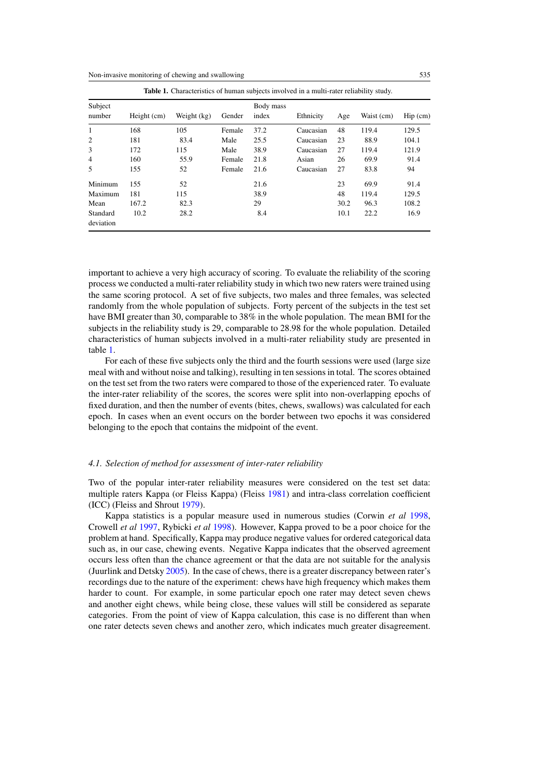| <b>Table 1.</b> Characteristics of numan subjects involved in a multi-rater reliability study. |             |             |        |                    |           |      |            |            |  |  |
|------------------------------------------------------------------------------------------------|-------------|-------------|--------|--------------------|-----------|------|------------|------------|--|--|
| Subject<br>number                                                                              | Height (cm) | Weight (kg) | Gender | Body mass<br>index | Ethnicity | Age  | Waist (cm) | $Hip$ (cm) |  |  |
|                                                                                                | 168         | 105         | Female | 37.2               | Caucasian | 48   | 119.4      | 129.5      |  |  |
| $\overline{c}$                                                                                 | 181         | 83.4        | Male   | 25.5               | Caucasian | 23   | 88.9       | 104.1      |  |  |
| 3                                                                                              | 172         | 115         | Male   | 38.9               | Caucasian | 27   | 119.4      | 121.9      |  |  |
| $\overline{4}$                                                                                 | 160         | 55.9        | Female | 21.8               | Asian     | 26   | 69.9       | 91.4       |  |  |
| 5                                                                                              | 155         | 52          | Female | 21.6               | Caucasian | 27   | 83.8       | 94         |  |  |
| Minimum                                                                                        | 155         | 52          |        | 21.6               |           | 23   | 69.9       | 91.4       |  |  |
| Maximum                                                                                        | 181         | 115         |        | 38.9               |           | 48   | 119.4      | 129.5      |  |  |
| Mean                                                                                           | 167.2       | 82.3        |        | 29                 |           | 30.2 | 96.3       | 108.2      |  |  |
| Standard<br>deviation                                                                          | 10.2        | 28.2        |        | 8.4                |           | 10.1 | 22.2       | 16.9       |  |  |

**Table 1.** Characteristics of human subjects involved in a multi-rater reliability study.

important to achieve a very high accuracy of scoring. To evaluate the reliability of the scoring process we conducted a multi-rater reliability study in which two new raters were trained using the same scoring protocol. A set of five subjects, two males and three females, was selected randomly from the whole population of subjects. Forty percent of the subjects in the test set have BMI greater than 30, comparable to 38% in the whole population. The mean BMI for the subjects in the reliability study is 29, comparable to 28.98 for the whole population. Detailed characteristics of human subjects involved in a multi-rater reliability study are presented in table 1.

For each of these five subjects only the third and the fourth sessions were used (large size meal with and without noise and talking), resulting in ten sessions in total. The scores obtained on the test set from the two raters were compared to those of the experienced rater. To evaluate the inter-rater reliability of the scores, the scores were split into non-overlapping epochs of fixed duration, and then the number of events (bites, chews, swallows) was calculated for each epoch. In cases when an event occurs on the border between two epochs it was considered belonging to the epoch that contains the midpoint of the event.

## *4.1. Selection of method for assessment of inter-rater reliability*

Two of the popular inter-rater reliability measures were considered on the test set data: multiple raters Kappa (or Fleiss Kappa) (Fleiss [1981](#page-15-0)) and intra-class correlation coefficient (ICC) (Fleiss and Shrout [1979\)](#page-15-0).

Kappa statistics is a popular measure used in numerous studies (Corwin *et al* [1998](#page-14-0), Crowell *et al* [1997,](#page-15-0) Rybicki *et al* [1998\)](#page-16-0). However, Kappa proved to be a poor choice for the problem at hand. Specifically, Kappa may produce negative values for ordered categorical data such as, in our case, chewing events. Negative Kappa indicates that the observed agreement occurs less often than the chance agreement or that the data are not suitable for the analysis (Juurlink and Detsky [2005\)](#page-15-0). In the case of chews, there is a greater discrepancy between rater's recordings due to the nature of the experiment: chews have high frequency which makes them harder to count. For example, in some particular epoch one rater may detect seven chews and another eight chews, while being close, these values will still be considered as separate categories. From the point of view of Kappa calculation, this case is no different than when one rater detects seven chews and another zero, which indicates much greater disagreement.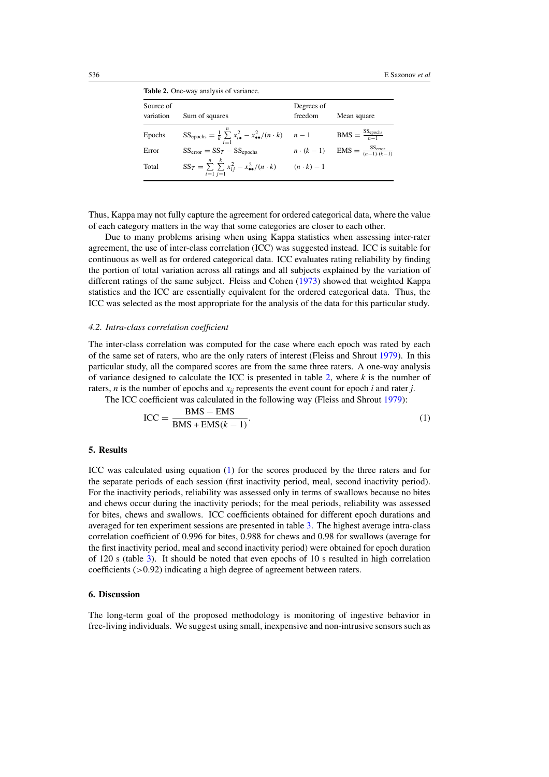<span id="page-11-0"></span>

| <b>Table 2.</b> One-way analysis of variance. |                                                                                                           |                       |                                                                  |  |  |  |  |
|-----------------------------------------------|-----------------------------------------------------------------------------------------------------------|-----------------------|------------------------------------------------------------------|--|--|--|--|
| Source of<br>variation                        | Sum of squares                                                                                            | Degrees of<br>freedom | Mean square                                                      |  |  |  |  |
| Epochs                                        | $SS_{\text{epochs}} = \frac{1}{k} \sum_{i=1}^{n} x_{i\bullet}^2 - x_{\bullet\bullet}^2/(n \cdot k)$ $n-1$ |                       | $BMS = \frac{SS_{epochs}}{n-1}$                                  |  |  |  |  |
| Error                                         | $SS_{error} = SS_T - SS_{epochs}$                                                                         |                       | $n \cdot (k-1)$ EMS = $\frac{\text{SSerror}}{(n-1) \cdot (k-1)}$ |  |  |  |  |
| Total                                         | $SS_T = \sum_{i=1}^{n} \sum_{j=1}^{k} x_{ij}^2 - x_{\bullet \bullet}^2 / (n \cdot k)$                     | $(n \cdot k) - 1$     |                                                                  |  |  |  |  |

Thus, Kappa may not fully capture the agreement for ordered categorical data, where the value of each category matters in the way that some categories are closer to each other.

Due to many problems arising when using Kappa statistics when assessing inter-rater agreement, the use of inter-class correlation (ICC) was suggested instead. ICC is suitable for continuous as well as for ordered categorical data. ICC evaluates rating reliability by finding the portion of total variation across all ratings and all subjects explained by the variation of different ratings of the same subject. Fleiss and Cohen [\(1973\)](#page-15-0) showed that weighted Kappa statistics and the ICC are essentially equivalent for the ordered categorical data. Thus, the ICC was selected as the most appropriate for the analysis of the data for this particular study.

## *4.2. Intra-class correlation coefficient*

The inter-class correlation was computed for the case where each epoch was rated by each of the same set of raters, who are the only raters of interest (Fleiss and Shrout [1979](#page-15-0)). In this particular study, all the compared scores are from the same three raters. A one-way analysis of variance designed to calculate the ICC is presented in table 2, where *k* is the number of raters, *n* is the number of epochs and *xij* represents the event count for epoch *i* and rater *j*.

The ICC coefficient was calculated in the following way (Fleiss and Shrout [1979\)](#page-15-0):

$$
ICC = \frac{BMS - EMS}{BMS + EMS(k-1)}.
$$
\n(1)

## **5. Results**

ICC was calculated using equation (1) for the scores produced by the three raters and for the separate periods of each session (first inactivity period, meal, second inactivity period). For the inactivity periods, reliability was assessed only in terms of swallows because no bites and chews occur during the inactivity periods; for the meal periods, reliability was assessed for bites, chews and swallows. ICC coefficients obtained for different epoch durations and averaged for ten experiment sessions are presented in table [3.](#page-12-0) The highest average intra-class correlation coefficient of 0.996 for bites, 0.988 for chews and 0.98 for swallows (average for the first inactivity period, meal and second inactivity period) were obtained for epoch duration of 120 s (table [3\)](#page-12-0). It should be noted that even epochs of 10 s resulted in high correlation coefficients (*>*0.92) indicating a high degree of agreement between raters.

## **6. Discussion**

The long-term goal of the proposed methodology is monitoring of ingestive behavior in free-living individuals. We suggest using small, inexpensive and non-intrusive sensors such as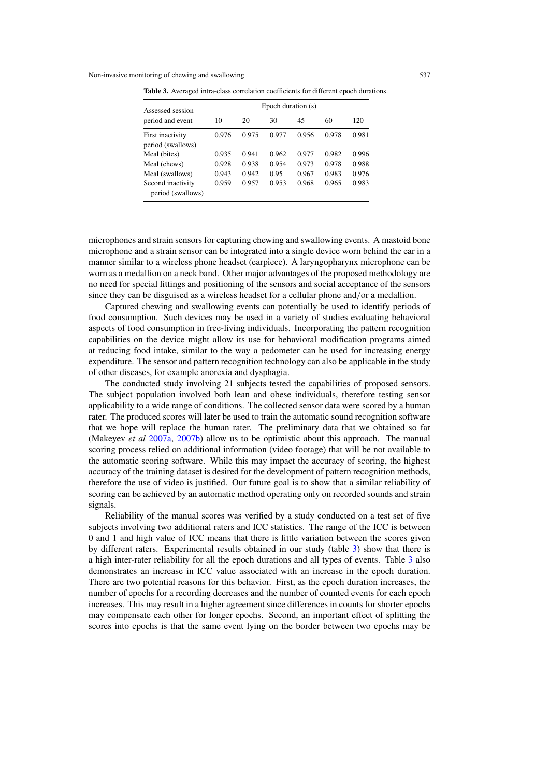| Epoch duration (s) |       |       |       |       |       |  |
|--------------------|-------|-------|-------|-------|-------|--|
| 10                 | 20    | 30    | 45    | 60    | 120   |  |
| 0.976              | 0.975 | 0.977 | 0.956 | 0.978 | 0.981 |  |
| 0.935              | 0.941 | 0.962 | 0.977 | 0.982 | 0.996 |  |
| 0.928              | 0.938 | 0.954 | 0.973 | 0.978 | 0.988 |  |
| 0.943              | 0.942 | 0.95  | 0.967 | 0.983 | 0.976 |  |
| 0.959              | 0.957 | 0.953 | 0.968 | 0.965 | 0.983 |  |
|                    |       |       |       |       |       |  |

<span id="page-12-0"></span>**Table 3.** Averaged intra-class correlation coefficients for different epoch durations.

microphones and strain sensors for capturing chewing and swallowing events. A mastoid bone microphone and a strain sensor can be integrated into a single device worn behind the ear in a manner similar to a wireless phone headset (earpiece). A laryngopharynx microphone can be worn as a medallion on a neck band. Other major advantages of the proposed methodology are no need for special fittings and positioning of the sensors and social acceptance of the sensors since they can be disguised as a wireless headset for a cellular phone and*/*or a medallion.

Captured chewing and swallowing events can potentially be used to identify periods of food consumption. Such devices may be used in a variety of studies evaluating behavioral aspects of food consumption in free-living individuals. Incorporating the pattern recognition capabilities on the device might allow its use for behavioral modification programs aimed at reducing food intake, similar to the way a pedometer can be used for increasing energy expenditure. The sensor and pattern recognition technology can also be applicable in the study of other diseases, for example anorexia and dysphagia.

The conducted study involving 21 subjects tested the capabilities of proposed sensors. The subject population involved both lean and obese individuals, therefore testing sensor applicability to a wide range of conditions. The collected sensor data were scored by a human rater. The produced scores will later be used to train the automatic sound recognition software that we hope will replace the human rater. The preliminary data that we obtained so far (Makeyev *et al* [2007a,](#page-15-0) [2007b\)](#page-15-0) allow us to be optimistic about this approach. The manual scoring process relied on additional information (video footage) that will be not available to the automatic scoring software. While this may impact the accuracy of scoring, the highest accuracy of the training dataset is desired for the development of pattern recognition methods, therefore the use of video is justified. Our future goal is to show that a similar reliability of scoring can be achieved by an automatic method operating only on recorded sounds and strain signals.

Reliability of the manual scores was verified by a study conducted on a test set of five subjects involving two additional raters and ICC statistics. The range of the ICC is between 0 and 1 and high value of ICC means that there is little variation between the scores given by different raters. Experimental results obtained in our study (table 3) show that there is a high inter-rater reliability for all the epoch durations and all types of events. Table 3 also demonstrates an increase in ICC value associated with an increase in the epoch duration. There are two potential reasons for this behavior. First, as the epoch duration increases, the number of epochs for a recording decreases and the number of counted events for each epoch increases. This may result in a higher agreement since differences in counts for shorter epochs may compensate each other for longer epochs. Second, an important effect of splitting the scores into epochs is that the same event lying on the border between two epochs may be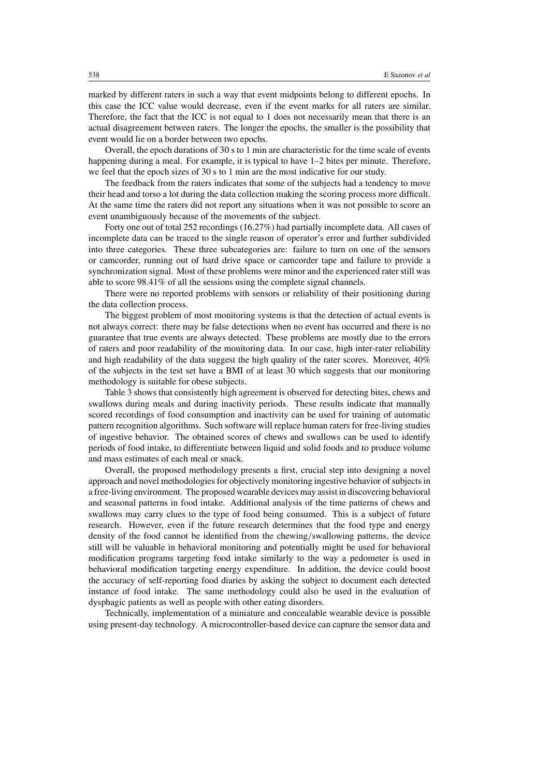marked by different raters in such a way that event midpoints belong to different epochs. In this case the ICC value would decrease, even if the event marks for all raters are similar. Therefore, the fact that the ICC is not equal to 1 does not necessarily mean that there is an actual disagreement between raters. The longer the epochs, the smaller is the possibility that event would lie on a border between two epochs.

Overall, the epoch durations of 30 s to 1 min are characteristic for the time scale of events happening during a meal. For example, it is typical to have  $1-2$  bites per minute. Therefore, we feel that the epoch sizes of 30 s to 1 min are the most indicative for our study.

The feedback from the raters indicates that some of the subjects had a tendency to move their head and torso a lot during the data collection making the scoring process more difficult. At the same time the raters did not report any situations when it was not possible to score an event unambiguously because of the movements of the subject.

Forty one out of total 252 recordings (16.27%) had partially incomplete data. All cases of incomplete data can be traced to the single reason of operator's error and further subdivided into three categories. These three subcategories are: failure to turn on one of the sensors or camcorder, running out of hard drive space or camcorder tape and failure to provide a synchronization signal. Most of these problems were minor and the experienced rater still was able to score 98.41% of all the sessions using the complete signal channels.

There were no reported problems with sensors or reliability of their positioning during the data collection process.

The biggest problem of most monitoring systems is that the detection of actual events is not always correct: there may be false detections when no event has occurred and there is no guarantee that true events are always detected. These problems are mostly due to the errors of raters and poor readability of the monitoring data. In our case, high inter-rater reliability and high readability of the data suggest the high quality of the rater scores. Moreover, 40% of the subjects in the test set have a BMI of at least 30 which suggests that our monitoring methodology is suitable for obese subjects.

Table [3](#page-12-0) shows that consistently high agreement is observed for detecting bites, chews and swallows during meals and during inactivity periods. These results indicate that manually scored recordings of food consumption and inactivity can be used for training of automatic pattern recognition algorithms. Such software will replace human raters for free-living studies of ingestive behavior. The obtained scores of chews and swallows can be used to identify periods of food intake, to differentiate between liquid and solid foods and to produce volume and mass estimates of each meal or snack.

Overall, the proposed methodology presents a first, crucial step into designing a novel approach and novel methodologies for objectively monitoring ingestive behavior of subjects in a free-living environment. The proposed wearable devices may assist in discovering behavioral and seasonal patterns in food intake. Additional analysis of the time patterns of chews and swallows may carry clues to the type of food being consumed. This is a subject of future research. However, even if the future research determines that the food type and energy density of the food cannot be identified from the chewing*/*swallowing patterns, the device still will be valuable in behavioral monitoring and potentially might be used for behavioral modification programs targeting food intake similarly to the way a pedometer is used in behavioral modification targeting energy expenditure. In addition, the device could boost the accuracy of self-reporting food diaries by asking the subject to document each detected instance of food intake. The same methodology could also be used in the evaluation of dysphagic patients as well as people with other eating disorders.

Technically, implementation of a miniature and concealable wearable device is possible using present-day technology. A microcontroller-based device can capture the sensor data and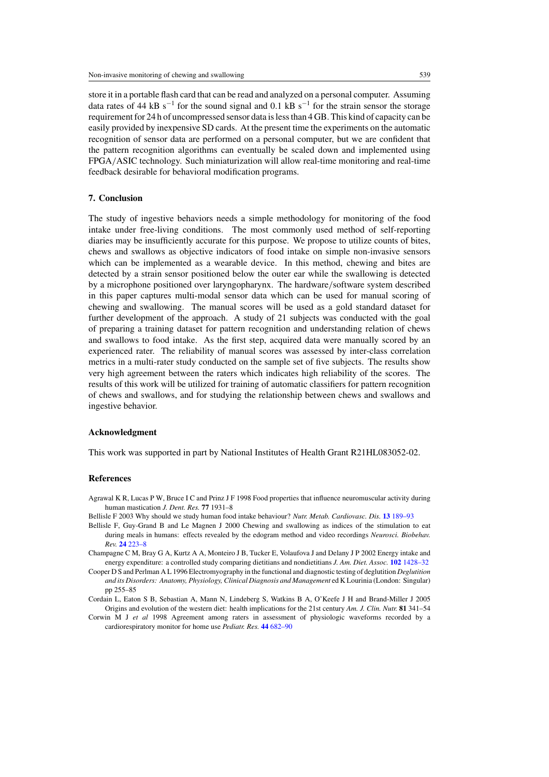<span id="page-14-0"></span>store it in a portable flash card that can be read and analyzed on a personal computer. Assuming data rates of 44 kB s<sup>−1</sup> for the sound signal and 0.1 kB s<sup>−1</sup> for the strain sensor the storage requirement for 24 h of uncompressed sensor data is less than 4 GB. This kind of capacity can be easily provided by inexpensive SD cards. At the present time the experiments on the automatic recognition of sensor data are performed on a personal computer, but we are confident that the pattern recognition algorithms can eventually be scaled down and implemented using FPGA*/*ASIC technology. Such miniaturization will allow real-time monitoring and real-time feedback desirable for behavioral modification programs.

## **7. Conclusion**

The study of ingestive behaviors needs a simple methodology for monitoring of the food intake under free-living conditions. The most commonly used method of self-reporting diaries may be insufficiently accurate for this purpose. We propose to utilize counts of bites, chews and swallows as objective indicators of food intake on simple non-invasive sensors which can be implemented as a wearable device. In this method, chewing and bites are detected by a strain sensor positioned below the outer ear while the swallowing is detected by a microphone positioned over laryngopharynx. The hardware*/*software system described in this paper captures multi-modal sensor data which can be used for manual scoring of chewing and swallowing. The manual scores will be used as a gold standard dataset for further development of the approach. A study of 21 subjects was conducted with the goal of preparing a training dataset for pattern recognition and understanding relation of chews and swallows to food intake. As the first step, acquired data were manually scored by an experienced rater. The reliability of manual scores was assessed by inter-class correlation metrics in a multi-rater study conducted on the sample set of five subjects. The results show very high agreement between the raters which indicates high reliability of the scores. The results of this work will be utilized for training of automatic classifiers for pattern recognition of chews and swallows, and for studying the relationship between chews and swallows and ingestive behavior.

## **Acknowledgment**

This work was supported in part by National Institutes of Health Grant R21HL083052-02.

## **References**

- Agrawal K R, Lucas P W, Bruce I C and Prinz J F 1998 Food properties that influence neuromuscular activity during human mastication *J. Dent. Res.* **77** 1931–8
- Bellisle F 2003 Why should we study human food intake behaviour? *Nutr. Metab. Cardiovasc. Dis.* **13** [189–93](http://dx.doi.org/10.1016/S0939-4753(03)80010-8)
- Bellisle F, Guy-Grand B and Le Magnen J 2000 Chewing and swallowing as indices of the stimulation to eat during meals in humans: effects revealed by the edogram method and video recordings *Neurosci. Biobehav. Rev.* **24** [223–8](http://dx.doi.org/10.1016/S0149-7634(99)00075-5)
- Champagne C M, Bray G A, Kurtz A A, Monteiro J B, Tucker E, Volaufova J and Delany J P 2002 Energy intake and energy expenditure: a controlled study comparing dietitians and nondietitians *J. Am. Diet. Assoc.* **102** [1428–32](http://dx.doi.org/10.1016/S0002-8223(02)90316-0)
- Cooper D S and Perlman A L 1996 Electromyography in the functional and diagnostic testing of deglutition *Deglutition and its Disorders: Anatomy, Physiology, Clinical Diagnosis and Management* ed K Lourinia (London: Singular) pp 255–85
- Cordain L, Eaton S B, Sebastian A, Mann N, Lindeberg S, Watkins B A, O'Keefe J H and Brand-Miller J 2005 Origins and evolution of the western diet: health implications for the 21st century *Am. J. Clin. Nutr.* **81** 341–54
- Corwin M J *et al* 1998 Agreement among raters in assessment of physiologic waveforms recorded by a cardiorespiratory monitor for home use *Pediatr. Res.* **44** [682–90](http://dx.doi.org/10.1203/00006450-199811000-00010)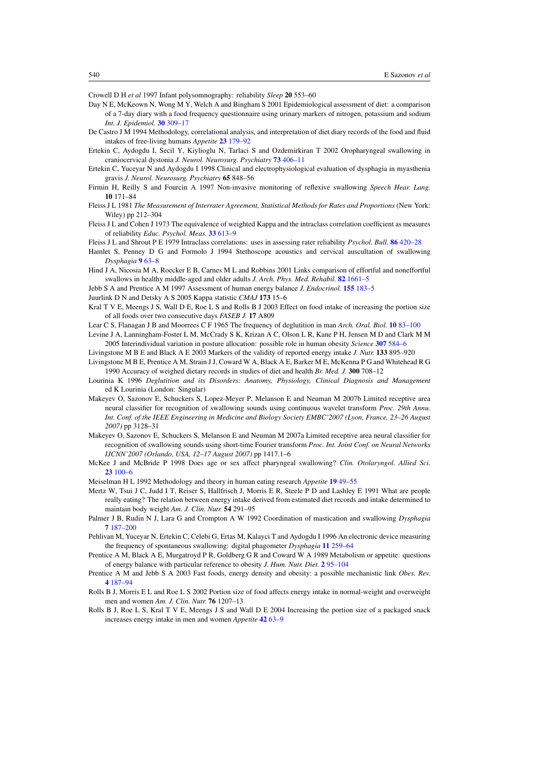<span id="page-15-0"></span>Crowell D H *et al* 1997 Infant polysomnography: reliability *Sleep* **20** 553–60

- Day N E, McKeown N, Wong M Y, Welch A and Bingham S 2001 Epidemiological assessment of diet: a comparison of a 7-day diary with a food frequency questionnaire using urinary markers of nitrogen, potassium and sodium *Int. J. Epidemiol.* **30** [309–17](http://dx.doi.org/10.1093/ije/30.2.309)
- De Castro J M 1994 Methodology, correlational analysis, and interpretation of diet diary records of the food and fluid intakes of free-living humans *Appetite* **23** [179–92](http://dx.doi.org/10.1006/appe.1994.1045)
- Ertekin C, Aydogdu I, Secil Y, Kiylioglu N, Tarlaci S and Ozdemirkiran T 2002 Oropharyngeal swallowing in craniocervical dystonia *J. Neurol. Neurosurg. Psychiatry* **73** [406–11](http://dx.doi.org/10.1136/jnnp.73.4.406)
- Ertekin C, Yuceyar N and Aydogdu I 1998 Clinical and electrophysiological evaluation of dysphagia in myasthenia gravis *J. Neurol. Neurosurg. Psychiatry* **65** 848–56
- Firmin H, Reilly S and Fourcin A 1997 Non-invasive monitoring of reflexive swallowing *Speech Hear. Lang.* **10** 171–84
- Fleiss J L 1981 *The Measurement of Interrater Agreement, Statistical Methods for Rates and Proportions* (New York: Wiley) pp 212–304
- Fleiss J L and Cohen J 1973 The equivalence of weighted Kappa and the intraclass correlation coefficient as measures of reliability *Educ. Psychol. Meas.* **33** [613–9](http://dx.doi.org/10.1177/001316447303300309)
- Fleiss J L and Shrout P E 1979 Intraclass correlations: uses in assessing rater reliability *Psychol. Bull.* **86** [420–28](http://dx.doi.org/10.1037/0033-2909.86.5.974)
- Hamlet S, Penney D G and Formolo J 1994 Stethoscope acoustics and cervical auscultation of swallowing *Dysphagia* **9** [63–8](http://dx.doi.org/10.1007/BF00262761)
- Hind J A, Nicosia M A, Roecker E B, Carnes M L and Robbins 2001 Links comparison of effortful and noneffortful swallows in healthy middle-aged and older adults *J. Arch. Phys. Med. Rehabil.* **82** [1661–5](http://dx.doi.org/10.1053/apmr.2001.28006)
- Jebb S A and Prentice A M 1997 Assessment of human energy balance *J. Endocrinol.* **155** [183–5](http://dx.doi.org/10.1677/joe.0.1550183)
- Juurlink D N and Detsky A S 2005 Kappa statistic *CMAJ* **173** 15–6
- Kral T V E, Meengs J S, Wall D E, Roe L S and Rolls B J 2003 Effect on food intake of increasing the portion size of all foods over two consecutive days *FASEB J.* **17** A809
- Lear C S, Flanagan J B and Moorrees C F 1965 The frequency of deglutition in man *Arch. Oral. Biol.* **10** [83–100](http://dx.doi.org/10.1016/0003-9969(65)90060-9)
- Levine J A, Lanningham-Foster L M, McCrady S K, Krizan A C, Olson L R, Kane P H, Jensen M D and Clark M M 2005 Interindividual variation in posture allocation: possible role in human obesity *Science* **307** [584–6](http://dx.doi.org/10.1126/science.1106561)
- Livingstone M B E and Black A E 2003 Markers of the validity of reported energy intake *J. Nutr.* **133** 895–920 Livingstone M B E, Prentice A M, Strain J J, Coward W A, Black A E, Barker M E, McKenna P G and Whitehead R G
- 1990 Accuracy of weighed dietary records in studies of diet and health *Br. Med. J.* **300** 708–12 Lourinia K 1996 *Deglutition and its Disorders: Anatomy, Physiology, Clinical Diagnosis and Management* ed K Lourinia (London: Singular)
- Makeyev O, Sazonov E, Schuckers S, Lopez-Meyer P, Melanson E and Neuman M 2007b Limited receptive area neural classifier for recognition of swallowing sounds using continuous wavelet transform *Proc. 29th Annu. Int. Conf. of the IEEE Engineering in Medicine and Biology Society EMBC'2007 (Lyon, France, 23–26 August 2007)* pp 3128–31
- Makeyev O, Sazonov E, Schuckers S, Melanson E and Neuman M 2007a Limited receptive area neural classifier for recognition of swallowing sounds using short-time Fourier transform *Proc. Int. Joint Conf. on Neural Networks IJCNN'2007 (Orlando, USA, 12–17 August 2007)* pp 1417.1–6
- McKee J and McBride P 1998 Does age or sex affect pharyngeal swallowing? *Clin. Otolaryngol. Allied Sci.* **23** [100–6](http://dx.doi.org/10.1046/j.1365-2273.1998.00100.x)
- Meiselman H L 1992 Methodology and theory in human eating research *Appetite* **19** [49–55](http://dx.doi.org/10.1016/0195-6663(92)90235-X)
- Mertz W, Tsui J C, Judd I T, Reiser S, Hallfrisch J, Morris E R, Steele P D and Lashley E 1991 What are people really eating? The relation between energy intake derived from estimated diet records and intake determined to maintain body weight *Am. J. Clin. Nutr.* **54** 291–95
- Palmer J B, Rudin N J, Lara G and Crompton A W 1992 Coordination of mastication and swallowing *Dysphagia* **7** [187–200](http://dx.doi.org/10.1007/BF02493469)
- Pehlivan M, Yuceyar N, Ertekin C, Celebi G, Ertas M, Kalayci T and Aydogdu I 1996 An electronic device measuring the frequency of spontaneous swallowing: digital phagometer *Dysphagia* **11** [259–64](http://dx.doi.org/10.1007/BF00265212)
- Prentice A M, Black A E, Murgatroyd P R, Goldberg G R and Coward W A 1989 Metabolism or appetite: questions of energy balance with particular reference to obesity *J. Hum. Nutr. Diet.* **2** [95–104](http://dx.doi.org/10.1111/j.1365-277X.1989.tb00014.x)
- Prentice A M and Jebb S A 2003 Fast foods, energy density and obesity: a possible mechanistic link *Obes. Rev.* **4** [187–94](http://dx.doi.org/10.1046/j.1467-789X.2003.00117.x)
- Rolls B J, Morris E L and Roe L S 2002 Portion size of food affects energy intake in normal-weight and overweight men and women *Am. J. Clin. Nutr.* **76** 1207–13
- Rolls B J, Roe L S, Kral T V E, Meengs J S and Wall D E 2004 Increasing the portion size of a packaged snack increases energy intake in men and women *Appetite* **42** [63–9](http://dx.doi.org/10.1016/S0195-6663(03)00117-X)